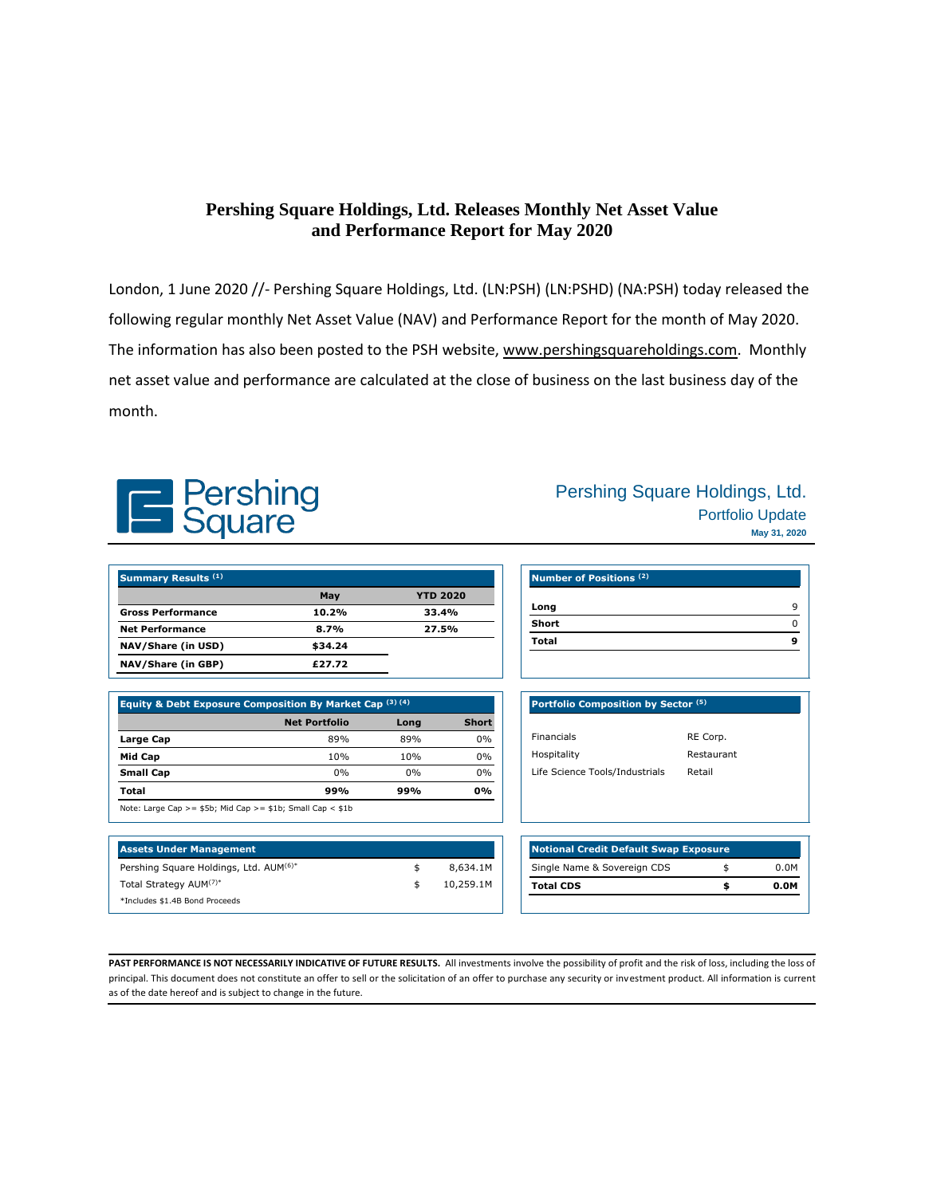## **Pershing Square Holdings, Ltd. Releases Monthly Net Asset Value and Performance Report for May 2020**

London, 1 June 2020 //- Pershing Square Holdings, Ltd. (LN:PSH) (LN:PSHD) (NA:PSH) today released the following regular monthly Net Asset Value (NAV) and Performance Report for the month of May 2020. The information has also been posted to the PSH website, [www.pershingsquareholdings.com.](https://www.pershingsquareholdings.com/company-reports/weekly-navs/) Monthly net asset value and performance are calculated at the close of business on the last business day of the month.



| Pershing Square Holdings, Ltd. |
|--------------------------------|
| <b>Portfolio Update</b>        |
| May 31, 2020                   |

| <b>Summary Results (1)</b> |         |                 |  |
|----------------------------|---------|-----------------|--|
|                            | May     | <b>YTD 2020</b> |  |
| <b>Gross Performance</b>   | 10.2%   | 33.4%           |  |
| <b>Net Performance</b>     | 8.7%    | 27.5%           |  |
| NAV/Share (in USD)         | \$34.24 |                 |  |
| NAV/Share (in GBP)         | £27.72  |                 |  |

| Equity & Debt Exposure Composition By Market Cap (3) (4) |                                                                   |           |              |
|----------------------------------------------------------|-------------------------------------------------------------------|-----------|--------------|
|                                                          | <b>Net Portfolio</b>                                              | Long      | <b>Short</b> |
| Large Cap                                                | 89%                                                               | 89%       | 0%           |
| Mid Cap                                                  | 10%                                                               | 10%       | 0%           |
| <b>Small Cap</b>                                         | $0\%$                                                             | $0\%$     | 0%           |
| Total                                                    | 99%                                                               | 0%<br>99% |              |
|                                                          | Note: Large Cap > = $$5b$ ; Mid Cap > = $$1b$ ; Small Cap < $$1b$ |           |              |

| <b>Assets Under Management</b>         |           |
|----------------------------------------|-----------|
| Pershing Square Holdings, Ltd. AUM(6)* | 8.634.1M  |
| Total Strategy AUM(7)*                 | 10,259.1M |
| *Includes \$1.4B Bond Proceeds         |           |

| Portfolio Composition by Sector (5) |            |
|-------------------------------------|------------|
|                                     |            |
| <b>Financials</b>                   | RE Corp.   |
| Hospitality                         | Restaurant |
| Life Science Tools/Industrials      | Retail     |
|                                     |            |

| <b>Notional Credit Default Swap Exposure</b> |      |  |  |
|----------------------------------------------|------|--|--|
|                                              | 0.OM |  |  |
|                                              | 0.0M |  |  |
|                                              |      |  |  |

PAST PERFORMANCE IS NOT NECESSARILY INDICATIVE OF FUTURE RESULTS. All investments involve the possibility of profit and the risk of loss, including the loss of principal. This document does not constitute an offer to sell or the solicitation of an offer to purchase any security or investment product. All information is current as of the date hereof and is subject to change in the future.